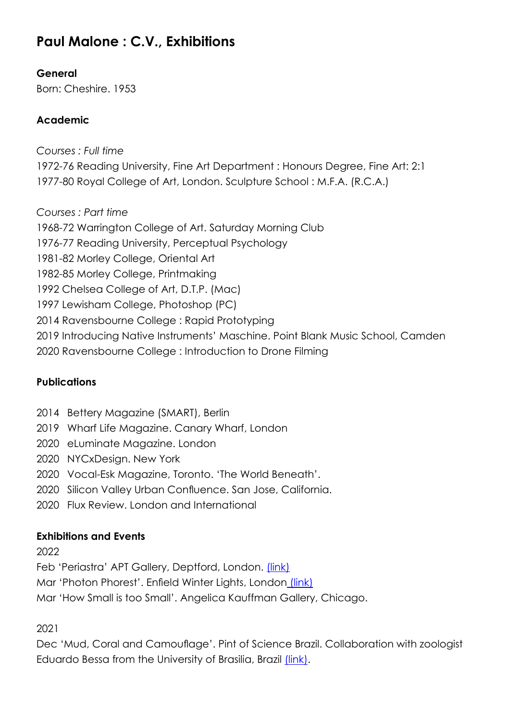# **Paul Malone : C.V., Exhibitions**

### **General**

Born: Cheshire. 1953

### **Academic**

*Courses : Full time* 1972-76 Reading University, Fine Art Department : Honours Degree, Fine Art: 2:1 1977-80 Royal College of Art, London. Sculpture School : M.F.A. (R.C.A.)

*Courses : Part time*

1968-72 Warrington College of Art. Saturday Morning Club

1976-77 Reading University, Perceptual Psychology

1981-82 Morley College, Oriental Art

1982-85 Morley College, Printmaking

1992 Chelsea College of Art, D.T.P. (Mac)

1997 Lewisham College, Photoshop (PC)

2014 Ravensbourne College : Rapid Prototyping

2019 Introducing Native Instruments' Maschine. Point Blank Music School, Camden

2020 Ravensbourne College : Introduction to Drone Filming

#### **Publications**

- 2014 Bettery Magazine (SMART), Berlin
- 2019 Wharf Life Magazine. Canary Wharf, London
- 2020 eLuminate Magazine. London
- 2020 NYCxDesign. New York
- 2020 Vocal-Esk Magazine, Toronto. 'The World Beneath'.
- 2020 Silicon Valley Urban Confluence. San Jose, California.
- 2020 Flux Review. London and International

#### **Exhibitions and Events**

2022

Feb 'Periastra' APT Gallery, Deptford, London. [\(link\)](https://www.cipango.co.uk/periastra/index.html)

Mar 'Photon Phorest'. Enfield Winter Lights, London [\(link\)](https://www.enfieldwinterlights.com/)

Mar 'How Small is too Small'. Angelica Kauffman Gallery, Chicago.

2021

Dec 'Mud, Coral and Camouflage'. Pint of Science Brazil. Collaboration with zoologist Eduardo Bessa from the University of Brasilia, Brazil [\(link\)](https://www.paulmalone.co.uk/pages/pm-projects/2021/mud-coral-camouflage/mud-coral-camouflage.htm).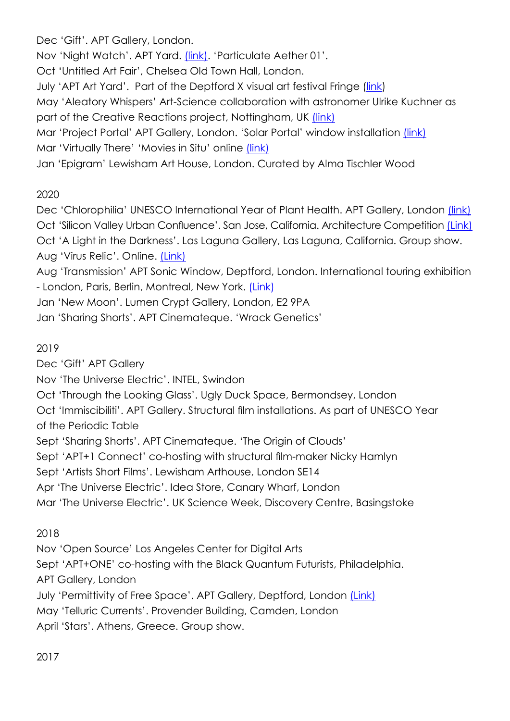Dec 'Gift'. APT Gallery, London.

Nov 'Night Watch'. APT Yard. [\(link\)](https://www.cipango.co.uk/night-watch/index.html). 'Particulate Aether 01'.

Oct 'Untitled Art Fair', Chelsea Old Town Hall, London.

July'APT Art Yard'. Part of the Deptford X visual art festival Fringe ([link](https://deptfordx.org/))

May 'Aleatory Whispers' Art-Science collaboration with astronomer Ulrike Kuchner as part of the Creative Reactions project, Nottingham, UK [\(link\)](https://www.cipango.co.uk/aleatory-whispers/index.html)

Mar 'Project Portal' APT Gallery, London. 'Solar Portal' window installation [\(link\)](https://www.paulmalone.co.uk/pages/pm-projects/2021/solar-portal/solar-portal.htm) Mar 'Virtually There' 'Movies in Situ' online [\(link\)](https://www.aptstudios.org/virtually-there)

Jan 'Epigram' Lewisham Art House, London. Curated by Alma Tischler Wood

## 2020

Dec 'Chlorophilia' UNESCO International Year of Plant Health. APT Gallery, London *[\(link\)](https://www.cipango.co.uk/chlorophilia/index.html)* Oct 'Silicon Valley Urban Confluence'. San Jose, California. Architecture Competition [\(Link\)](https://www.urbanconfluencesiliconvalley.org/) Oct 'A Light in the Darkness'. Las Laguna Gallery, Las Laguna, California. Group show. Aug 'Virus Relic'. Online. *[\(Link\)](https://www.cipango.co.uk/virus-relic/index.html)* 

Aug 'Transmission' APT Sonic Window, Deptford, London. International touring exhibition - London, Paris, Berlin, Montreal, New York. [\(Link\)](https://www.cipango.co.uk/transmission/)

Jan 'New Moon'. Lumen Crypt Gallery, London, E2 9PA

Jan 'Sharing Shorts'. APT Cinemateque. 'Wrack Genetics'

## 2019

Dec 'Gift' APT Gallery

Nov 'The Universe Electric'. INTEL, Swindon

Oct 'Through the Looking Glass'. Ugly Duck Space, Bermondsey, London

Oct 'Immiscibiliti'. APT Gallery. Structural film installations. As part of UNESCO Year of the Periodic Table

Sept 'Sharing Shorts'. APT Cinemateque. 'The Origin of Clouds'

Sept 'APT+1 Connect' co-hosting with structural film-maker Nicky Hamlyn

Sept 'Artists Short Films'. Lewisham Arthouse, London SE14

Apr 'The Universe Electric'. Idea Store, Canary Wharf, London

Mar 'The Universe Electric'. UK Science Week, Discovery Centre, Basingstoke

## 2018

Nov 'Open Source' Los Angeles Center for Digital Arts

Sept 'APT+ONE' co-hosting with the Black Quantum Futurists, Philadelphia.

APT Gallery, London

July 'Permittivity of Free Space'. APT Gallery, Deptford, London [\(Link\)](https://www.cipango.co.uk/permittivity/index.html)

May 'Telluric Currents'. Provender Building, Camden, London

April 'Stars'. Athens, Greece. Group show.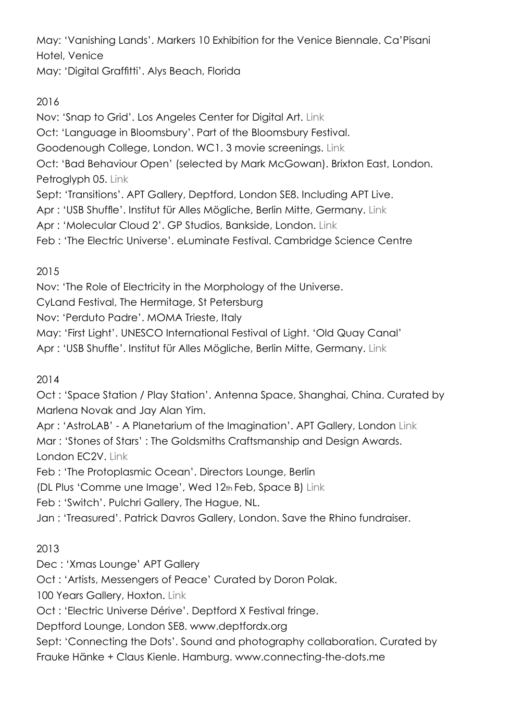May: 'Vanishing Lands'. Markers 10 Exhibition for the Venice Biennale. Ca'Pisani Hotel, Venice

May: 'Digital Graffitti'. Alys Beach, Florida

## 2016

Nov: 'Snap to Grid'. Los Angeles Center for Digital Art. Link

Oct: 'Language in Bloomsbury'. Part of the Bloomsbury Festival.

Goodenough College, London. WC1. 3 movie screenings. Link

Oct: 'Bad Behaviour Open' (selected by Mark McGowan). Brixton East, London. Petroglyph 05. Link

Sept: 'Transitions'. APT Gallery, Deptford, London SE8. Including APT Live.

Apr : 'USB Shuffle'. Institut für Alles Mögliche, Berlin Mitte, Germany. Link

Apr : 'Molecular Cloud 2'. GP Studios, Bankside, London. Link

Feb : 'The Electric Universe'. eLuminate Festival. Cambridge Science Centre

## 2015

Nov: 'The Role of Electricity in the Morphology of the Universe.

CyLand Festival, The Hermitage, St Petersburg

Nov: 'Perduto Padre'. MOMA Trieste, Italy

May: 'First Light'. UNESCO International Festival of Light. 'Old Quay Canal'

Apr : 'USB Shuffle'. Institut für Alles Mögliche, Berlin Mitte, Germany. Link

## 2014

Oct : 'Space Station / Play Station'. Antenna Space, Shanghai, China. Curated by Marlena Novak and Jay Alan Yim.

Apr : 'AstroLAB' - A Planetarium of the Imagination'. APT Gallery, London Link Mar : 'Stones of Stars' : The Goldsmiths Craftsmanship and Design Awards. London EC2V. Link

Feb : 'The Protoplasmic Ocean'. Directors Lounge, Berlin

(DL Plus 'Comme une Image', Wed 12th Feb, Space B) Link

Feb : 'Switch'. Pulchri Gallery, The Hague, NL.

Jan : 'Treasured'. Patrick Davros Gallery, London. Save the Rhino fundraiser.

## 2013

Dec : 'Xmas Lounge' APT Gallery

Oct : 'Artists, Messengers of Peace' Curated by Doron Polak.

100 Years Gallery, Hoxton. Link

Oct : 'Electric Universe Dérive'. Deptford X Festival fringe.

Deptford Lounge, London SE8. www.deptfordx.org

Sept: 'Connecting the Dots'. Sound and photography collaboration. Curated by Frauke Hänke + Claus Kienle. Hamburg. www.connecting-the-dots.me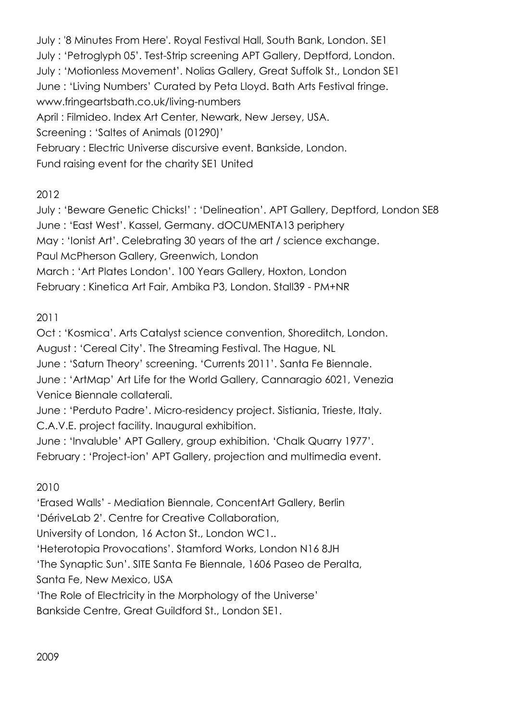July : '8 Minutes From Here'. Royal Festival Hall, South Bank, London. SE1 July : 'Petroglyph 05'. Test-Strip screening APT Gallery, Deptford, London. July : 'Motionless Movement'. Nolias Gallery, Great Suffolk St., London SE1 June : 'Living Numbers' Curated by Peta Lloyd. Bath Arts Festival fringe. www.fringeartsbath.co.uk/living-numbers April : Filmideo. Index Art Center, Newark, New Jersey, USA. Screening : 'Saltes of Animals (01290)' February : Electric Universe discursive event. Bankside, London. Fund raising event for the charity SE1 United

#### 2012

July : 'Beware Genetic Chicks!' : 'Delineation'. APT Gallery, Deptford, London SE8 June : 'East West'. Kassel, Germany. dOCUMENTA13 periphery May : 'Ionist Art'. Celebrating 30 years of the art / science exchange. Paul McPherson Gallery, Greenwich, London March : 'Art Plates London'. 100 Years Gallery, Hoxton, London February : Kinetica Art Fair, Ambika P3, London. Stall39 - PM+NR

### 2011

Oct : 'Kosmica'. Arts Catalyst science convention, Shoreditch, London. August : 'Cereal City'. The Streaming Festival. The Hague, NL June : 'Saturn Theory' screening. 'Currents 2011'. Santa Fe Biennale. June : 'ArtMap' Art Life for the World Gallery, Cannaragio 6021, Venezia Venice Biennale collaterali.

June : 'Perduto Padre'. Micro-residency project. Sistiania, Trieste, Italy. C.A.V.E. project facility. Inaugural exhibition.

June : 'Invaluble' APT Gallery, group exhibition. 'Chalk Quarry 1977'. February : 'Project-ion' APT Gallery, projection and multimedia event.

#### 2010

'Erased Walls' - Mediation Biennale, ConcentArt Gallery, Berlin

'DériveLab 2'. Centre for Creative Collaboration,

University of London, 16 Acton St., London WC1..

'Heterotopia Provocations'. Stamford Works, London N16 8JH

'The Synaptic Sun'. SITE Santa Fe Biennale, 1606 Paseo de Peralta,

Santa Fe, New Mexico, USA

'The Role of Electricity in the Morphology of the Universe'

Bankside Centre, Great Guildford St., London SE1.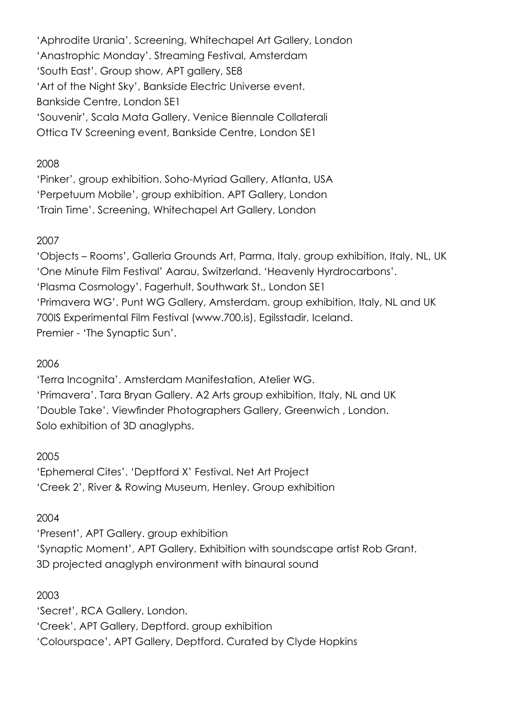'Aphrodite Urania'. Screening, Whitechapel Art Gallery, London 'Anastrophic Monday'. Streaming Festival, Amsterdam 'South East'. Group show, APT gallery, SE8 'Art of the Night Sky', Bankside Electric Universe event. Bankside Centre, London SE1 'Souvenir', Scala Mata Gallery. Venice Biennale Collaterali Ottica TV Screening event, Bankside Centre, London SE1

#### 2008

'Pinker', group exhibition. Soho-Myriad Gallery, Atlanta, USA 'Perpetuum Mobile', group exhibition. APT Gallery, London 'Train Time'. Screening, Whitechapel Art Gallery, London

#### 2007

'Objects – Rooms', Galleria Grounds Art, Parma, Italy. group exhibition, Italy, NL, UK 'One Minute Film Festival' Aarau, Switzerland. 'Heavenly Hyrdrocarbons'. 'Plasma Cosmology'. Fagerhult, Southwark St., London SE1 'Primavera WG'. Punt WG Gallery, Amsterdam. group exhibition, Italy, NL and UK 700IS Experimental Film Festival (www.700.is), Egilsstadir, Iceland. Premier - 'The Synaptic Sun'.

#### 2006

'Terra Incognita'. Amsterdam Manifestation, Atelier WG. 'Primavera'. Tara Bryan Gallery. A2 Arts group exhibition, Italy, NL and UK 'Double Take'. Viewfinder Photographers Gallery, Greenwich , London. Solo exhibition of 3D anaglyphs.

#### 2005

'Ephemeral Cites'. 'Deptford X' Festival. Net Art Project 'Creek 2', River & Rowing Museum, Henley. Group exhibition

#### 2004

'Present', APT Gallery. group exhibition 'Synaptic Moment', APT Gallery. Exhibition with soundscape artist Rob Grant. 3D projected anaglyph environment with binaural sound

#### 2003

'Secret', RCA Gallery, London. 'Creek', APT Gallery, Deptford. group exhibition 'Colourspace', APT Gallery, Deptford. Curated by Clyde Hopkins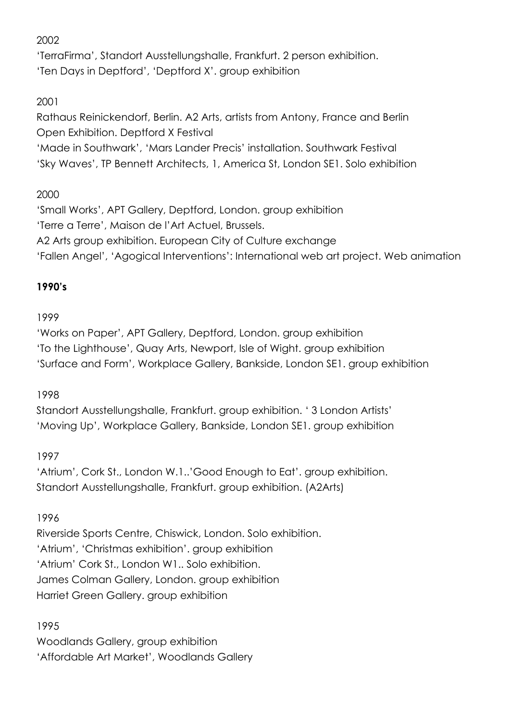2002

'TerraFirma', Standort Ausstellungshalle, Frankfurt. 2 person exhibition. 'Ten Days in Deptford', 'Deptford X'. group exhibition

2001

Rathaus Reinickendorf, Berlin. A2 Arts, artists from Antony, France and Berlin Open Exhibition. Deptford X Festival

'Made in Southwark', 'Mars Lander Precis' installation. Southwark Festival 'Sky Waves', TP Bennett Architects, 1, America St, London SE1. Solo exhibition

## 2000

'Small Works', APT Gallery, Deptford, London. group exhibition 'Terre a Terre', Maison de l'Art Actuel, Brussels. A2 Arts group exhibition. European City of Culture exchange 'Fallen Angel', 'Agogical Interventions': International web art project. Web animation

## **1990's**

## 1999

'Works on Paper', APT Gallery, Deptford, London. group exhibition 'To the Lighthouse', Quay Arts, Newport, Isle of Wight. group exhibition 'Surface and Form', Workplace Gallery, Bankside, London SE1. group exhibition

1998

Standort Ausstellungshalle, Frankfurt. group exhibition. ' 3 London Artists' 'Moving Up', Workplace Gallery, Bankside, London SE1. group exhibition

1997

'Atrium', Cork St., London W.1..'Good Enough to Eat'. group exhibition. Standort Ausstellungshalle, Frankfurt. group exhibition. (A2Arts)

## 1996

Riverside Sports Centre, Chiswick, London. Solo exhibition. 'Atrium', 'Christmas exhibition'. group exhibition 'Atrium' Cork St., London W1.. Solo exhibition. James Colman Gallery, London. group exhibition Harriet Green Gallery. group exhibition

1995

Woodlands Gallery, group exhibition 'Affordable Art Market', Woodlands Gallery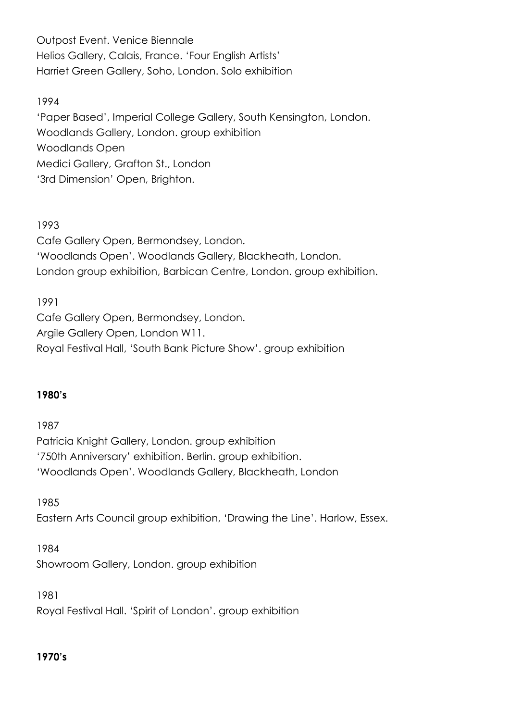Outpost Event. Venice Biennale Helios Gallery, Calais, France. 'Four English Artists' Harriet Green Gallery, Soho, London. Solo exhibition

#### 1994

'Paper Based', Imperial College Gallery, South Kensington, London. Woodlands Gallery, London. group exhibition Woodlands Open Medici Gallery, Grafton St., London '3rd Dimension' Open, Brighton.

#### 1993

Cafe Gallery Open, Bermondsey, London. 'Woodlands Open'. Woodlands Gallery, Blackheath, London. London group exhibition, Barbican Centre, London. group exhibition.

1991 Cafe Gallery Open, Bermondsey, London. Argile Gallery Open, London W11. Royal Festival Hall, 'South Bank Picture Show'. group exhibition

#### **1980's**

1987 Patricia Knight Gallery, London. group exhibition '750th Anniversary' exhibition. Berlin. group exhibition. 'Woodlands Open'. Woodlands Gallery, Blackheath, London

1985 Eastern Arts Council group exhibition, 'Drawing the Line'. Harlow, Essex.

1984 Showroom Gallery, London. group exhibition

1981 Royal Festival Hall. 'Spirit of London'. group exhibition

#### **1970's**